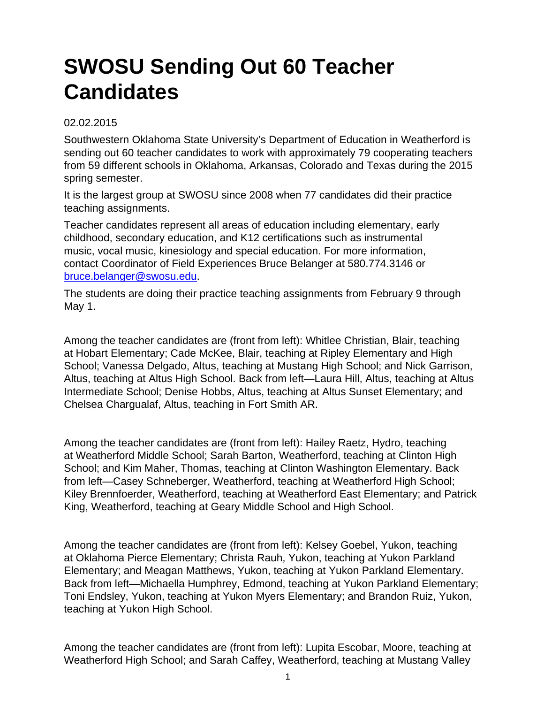## **SWOSU Sending Out 60 Teacher Candidates**

## 02.02.2015

Southwestern Oklahoma State University's Department of Education in Weatherford is sending out 60 teacher candidates to work with approximately 79 cooperating teachers from 59 different schools in Oklahoma, Arkansas, Colorado and Texas during the 2015 spring semester.

It is the largest group at SWOSU since 2008 when 77 candidates did their practice teaching assignments.

Teacher candidates represent all areas of education including elementary, early childhood, secondary education, and K12 certifications such as instrumental music, vocal music, kinesiology and special education. For more information, contact Coordinator of Field Experiences Bruce Belanger at 580.774.3146 or [bruce.belanger@swosu.edu.](mailto:bruce.belanger@swosu.edu)

The students are doing their practice teaching assignments from February 9 through May 1.

Among the teacher candidates are (front from left): Whitlee Christian, Blair, teaching at Hobart Elementary; Cade McKee, Blair, teaching at Ripley Elementary and High School; Vanessa Delgado, Altus, teaching at Mustang High School; and Nick Garrison, Altus, teaching at Altus High School. Back from left—Laura Hill, Altus, teaching at Altus Intermediate School; Denise Hobbs, Altus, teaching at Altus Sunset Elementary; and Chelsea Chargualaf, Altus, teaching in Fort Smith AR.

Among the teacher candidates are (front from left): Hailey Raetz, Hydro, teaching at Weatherford Middle School; Sarah Barton, Weatherford, teaching at Clinton High School; and Kim Maher, Thomas, teaching at Clinton Washington Elementary. Back from left—Casey Schneberger, Weatherford, teaching at Weatherford High School; Kiley Brennfoerder, Weatherford, teaching at Weatherford East Elementary; and Patrick King, Weatherford, teaching at Geary Middle School and High School.

Among the teacher candidates are (front from left): Kelsey Goebel, Yukon, teaching at Oklahoma Pierce Elementary; Christa Rauh, Yukon, teaching at Yukon Parkland Elementary; and Meagan Matthews, Yukon, teaching at Yukon Parkland Elementary. Back from left—Michaella Humphrey, Edmond, teaching at Yukon Parkland Elementary; Toni Endsley, Yukon, teaching at Yukon Myers Elementary; and Brandon Ruiz, Yukon, teaching at Yukon High School.

Among the teacher candidates are (front from left): Lupita Escobar, Moore, teaching at Weatherford High School; and Sarah Caffey, Weatherford, teaching at Mustang Valley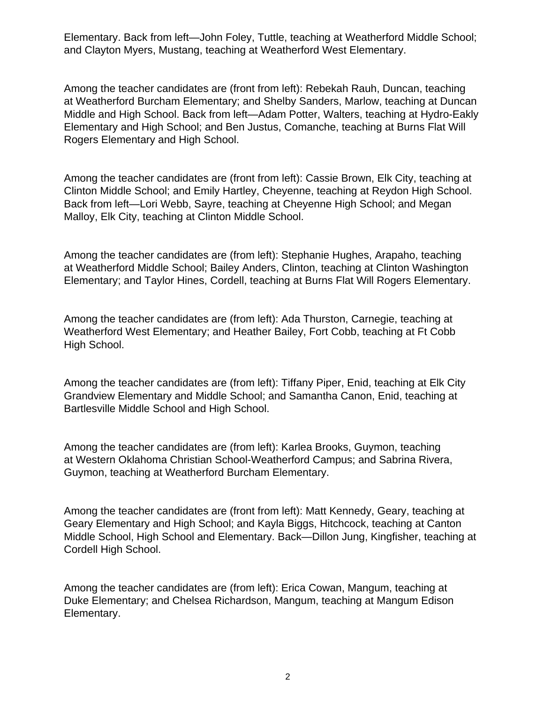Elementary. Back from left—John Foley, Tuttle, teaching at Weatherford Middle School; and Clayton Myers, Mustang, teaching at Weatherford West Elementary.

Among the teacher candidates are (front from left): Rebekah Rauh, Duncan, teaching at Weatherford Burcham Elementary; and Shelby Sanders, Marlow, teaching at Duncan Middle and High School. Back from left—Adam Potter, Walters, teaching at Hydro-Eakly Elementary and High School; and Ben Justus, Comanche, teaching at Burns Flat Will Rogers Elementary and High School.

Among the teacher candidates are (front from left): Cassie Brown, Elk City, teaching at Clinton Middle School; and Emily Hartley, Cheyenne, teaching at Reydon High School. Back from left—Lori Webb, Sayre, teaching at Cheyenne High School; and Megan Malloy, Elk City, teaching at Clinton Middle School.

Among the teacher candidates are (from left): Stephanie Hughes, Arapaho, teaching at Weatherford Middle School; Bailey Anders, Clinton, teaching at Clinton Washington Elementary; and Taylor Hines, Cordell, teaching at Burns Flat Will Rogers Elementary.

Among the teacher candidates are (from left): Ada Thurston, Carnegie, teaching at Weatherford West Elementary; and Heather Bailey, Fort Cobb, teaching at Ft Cobb High School.

Among the teacher candidates are (from left): Tiffany Piper, Enid, teaching at Elk City Grandview Elementary and Middle School; and Samantha Canon, Enid, teaching at Bartlesville Middle School and High School.

Among the teacher candidates are (from left): Karlea Brooks, Guymon, teaching at Western Oklahoma Christian School-Weatherford Campus; and Sabrina Rivera, Guymon, teaching at Weatherford Burcham Elementary.

Among the teacher candidates are (front from left): Matt Kennedy, Geary, teaching at Geary Elementary and High School; and Kayla Biggs, Hitchcock, teaching at Canton Middle School, High School and Elementary. Back—Dillon Jung, Kingfisher, teaching at Cordell High School.

Among the teacher candidates are (from left): Erica Cowan, Mangum, teaching at Duke Elementary; and Chelsea Richardson, Mangum, teaching at Mangum Edison Elementary.